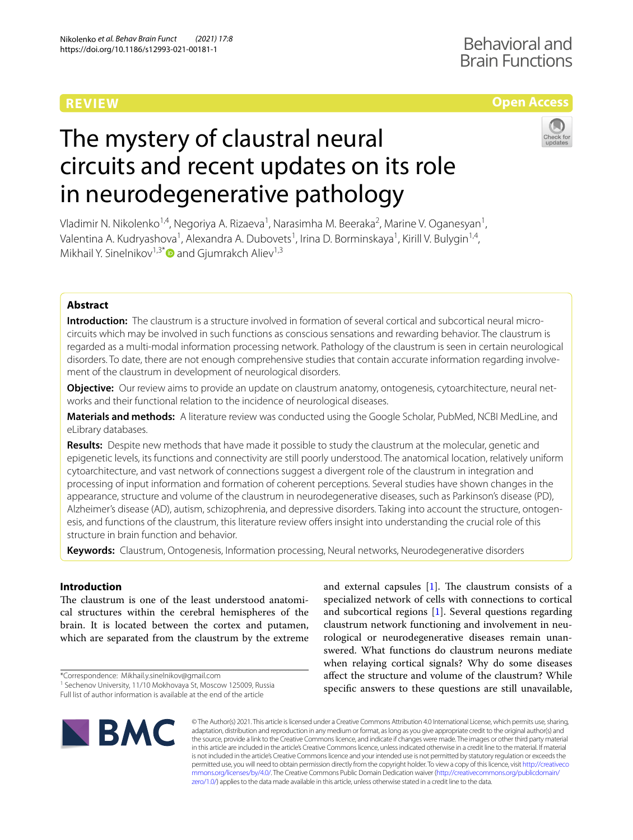# **REVIEW**

## **Open Access**

# The mystery of claustral neural circuits and recent updates on its role in neurodegenerative pathology



Vladimir N. Nikolenko<sup>1,4</sup>, Negoriya A. Rizaeva<sup>1</sup>, Narasimha M. Beeraka<sup>2</sup>, Marine V. Oganesyan<sup>1</sup>, Valentina A. Kudryashova<sup>1</sup>, Alexandra A. Dubovets<sup>1</sup>, Irina D. Borminskaya<sup>1</sup>, Kirill V. Bulygin<sup>1,4</sup>, Mikhail Y. Sinelnikov<sup>1,3[\\*](http://orcid.org/0000-0002-0862-6011)</sup> and Giumrakch Aliev<sup>1,3</sup>

### **Abstract**

**Introduction:** The claustrum is a structure involved in formation of several cortical and subcortical neural microcircuits which may be involved in such functions as conscious sensations and rewarding behavior. The claustrum is regarded as a multi-modal information processing network. Pathology of the claustrum is seen in certain neurological disorders. To date, there are not enough comprehensive studies that contain accurate information regarding involvement of the claustrum in development of neurological disorders.

**Objective:** Our review aims to provide an update on claustrum anatomy, ontogenesis, cytoarchitecture, neural networks and their functional relation to the incidence of neurological diseases.

**Materials and methods:** A literature review was conducted using the Google Scholar, PubMed, NCBI MedLine, and eLibrary databases.

**Results:** Despite new methods that have made it possible to study the claustrum at the molecular, genetic and epigenetic levels, its functions and connectivity are still poorly understood. The anatomical location, relatively uniform cytoarchitecture, and vast network of connections suggest a divergent role of the claustrum in integration and processing of input information and formation of coherent perceptions. Several studies have shown changes in the appearance, structure and volume of the claustrum in neurodegenerative diseases, such as Parkinson's disease (PD), Alzheimer's disease (AD), autism, schizophrenia, and depressive disorders. Taking into account the structure, ontogenesis, and functions of the claustrum, this literature review ofers insight into understanding the crucial role of this structure in brain function and behavior.

**Keywords:** Claustrum, Ontogenesis, Information processing, Neural networks, Neurodegenerative disorders

#### **Introduction**

The claustrum is one of the least understood anatomical structures within the cerebral hemispheres of the brain. It is located between the cortex and putamen, which are separated from the claustrum by the extreme

\*Correspondence: Mikhail.y.sinelnikov@gmail.com

<sup>1</sup> Sechenov University, 11/10 Mokhovaya St, Moscow 125009, Russia

Full list of author information is available at the end of the article

and external capsules  $[1]$ . The claustrum consists of a specialized network of cells with connections to cortical and subcortical regions [\[1](#page-7-0)]. Several questions regarding claustrum network functioning and involvement in neurological or neurodegenerative diseases remain unanswered. What functions do claustrum neurons mediate when relaying cortical signals? Why do some diseases afect the structure and volume of the claustrum? While specifc answers to these questions are still unavailable,



© The Author(s) 2021. This article is licensed under a Creative Commons Attribution 4.0 International License, which permits use, sharing, adaptation, distribution and reproduction in any medium or format, as long as you give appropriate credit to the original author(s) and the source, provide a link to the Creative Commons licence, and indicate if changes were made. The images or other third party material in this article are included in the article's Creative Commons licence, unless indicated otherwise in a credit line to the material. If material is not included in the article's Creative Commons licence and your intended use is not permitted by statutory regulation or exceeds the permitted use, you will need to obtain permission directly from the copyright holder. To view a copy of this licence, visit [http://creativeco](http://creativecommons.org/licenses/by/4.0/) [mmons.org/licenses/by/4.0/.](http://creativecommons.org/licenses/by/4.0/) The Creative Commons Public Domain Dedication waiver ([http://creativecommons.org/publicdomain/](http://creativecommons.org/publicdomain/zero/1.0/) [zero/1.0/\)](http://creativecommons.org/publicdomain/zero/1.0/) applies to the data made available in this article, unless otherwise stated in a credit line to the data.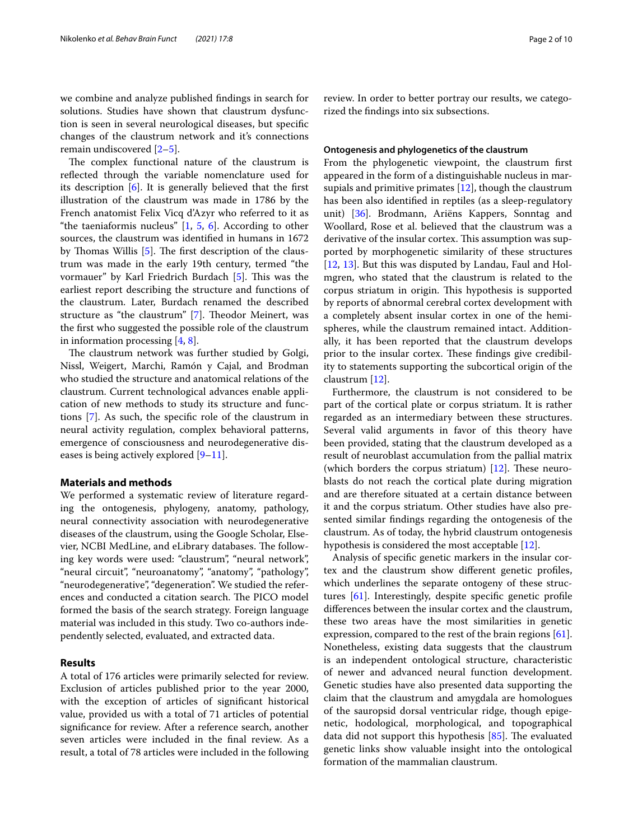we combine and analyze published fndings in search for solutions. Studies have shown that claustrum dysfunction is seen in several neurological diseases, but specifc changes of the claustrum network and it's connections remain undiscovered [\[2](#page-7-1)–[5\]](#page-7-2).

The complex functional nature of the claustrum is refected through the variable nomenclature used for its description [[6\]](#page-7-3). It is generally believed that the frst illustration of the claustrum was made in 1786 by the French anatomist Felix Vicq d'Azyr who referred to it as "the taeniaformis nucleus"  $[1, 5, 6]$  $[1, 5, 6]$  $[1, 5, 6]$  $[1, 5, 6]$  $[1, 5, 6]$ . According to other sources, the claustrum was identifed in humans in 1672 by Thomas Willis  $[5]$  $[5]$ . The first description of the claustrum was made in the early 19th century, termed "the vormauer" by Karl Friedrich Burdach [\[5](#page-7-2)]. This was the earliest report describing the structure and functions of the claustrum. Later, Burdach renamed the described structure as "the claustrum" [\[7](#page-7-4)]. Theodor Meinert, was the frst who suggested the possible role of the claustrum in information processing [\[4](#page-7-5), [8\]](#page-7-6).

The claustrum network was further studied by Golgi, Nissl, Weigert, Marchi, Ramón y Cajal, and Brodman who studied the structure and anatomical relations of the claustrum. Current technological advances enable application of new methods to study its structure and functions [[7\]](#page-7-4). As such, the specifc role of the claustrum in neural activity regulation, complex behavioral patterns, emergence of consciousness and neurodegenerative diseases is being actively explored  $[9-11]$  $[9-11]$  $[9-11]$ .

#### **Materials and methods**

We performed a systematic review of literature regarding the ontogenesis, phylogeny, anatomy, pathology, neural connectivity association with neurodegenerative diseases of the claustrum, using the Google Scholar, Elsevier, NCBI MedLine, and eLibrary databases. The following key words were used: "claustrum", "neural network", "neural circuit", "neuroanatomy", "anatomy", "pathology", "neurodegenerative", "degeneration". We studied the references and conducted a citation search. The PICO model formed the basis of the search strategy. Foreign language material was included in this study. Two co-authors independently selected, evaluated, and extracted data.

#### **Results**

A total of 176 articles were primarily selected for review. Exclusion of articles published prior to the year 2000, with the exception of articles of signifcant historical value, provided us with a total of 71 articles of potential signifcance for review. After a reference search, another seven articles were included in the fnal review. As a result, a total of 78 articles were included in the following review. In order to better portray our results, we categorized the fndings into six subsections.

#### **Ontogenesis and phylogenetics of the claustrum**

From the phylogenetic viewpoint, the claustrum frst appeared in the form of a distinguishable nucleus in marsupials and primitive primates [\[12](#page-7-9)], though the claustrum has been also identifed in reptiles (as a sleep-regulatory unit) [\[36\]](#page-8-0). Brodmann, Ariëns Kappers, Sonntag and Woollard, Rose et al. believed that the claustrum was a derivative of the insular cortex. This assumption was supported by morphogenetic similarity of these structures [[12,](#page-7-9) [13\]](#page-7-10). But this was disputed by Landau, Faul and Holmgren, who stated that the claustrum is related to the corpus striatum in origin. This hypothesis is supported by reports of abnormal cerebral cortex development with a completely absent insular cortex in one of the hemispheres, while the claustrum remained intact. Additionally, it has been reported that the claustrum develops prior to the insular cortex. These findings give credibility to statements supporting the subcortical origin of the claustrum [\[12](#page-7-9)].

Furthermore, the claustrum is not considered to be part of the cortical plate or corpus striatum. It is rather regarded as an intermediary between these structures. Several valid arguments in favor of this theory have been provided, stating that the claustrum developed as a result of neuroblast accumulation from the pallial matrix (which borders the corpus striatum)  $[12]$  $[12]$ . These neuroblasts do not reach the cortical plate during migration and are therefore situated at a certain distance between it and the corpus striatum. Other studies have also presented similar fndings regarding the ontogenesis of the claustrum. As of today, the hybrid claustrum ontogenesis hypothesis is considered the most acceptable [\[12\]](#page-7-9).

Analysis of specifc genetic markers in the insular cortex and the claustrum show diferent genetic profles, which underlines the separate ontogeny of these structures [[61\]](#page-8-1). Interestingly, despite specifc genetic profle diferences between the insular cortex and the claustrum, these two areas have the most similarities in genetic expression, compared to the rest of the brain regions  $[61]$  $[61]$ . Nonetheless, existing data suggests that the claustrum is an independent ontological structure, characteristic of newer and advanced neural function development. Genetic studies have also presented data supporting the claim that the claustrum and amygdala are homologues of the sauropsid dorsal ventricular ridge, though epigenetic, hodological, morphological, and topographical data did not support this hypothesis  $[85]$  $[85]$ . The evaluated genetic links show valuable insight into the ontological formation of the mammalian claustrum.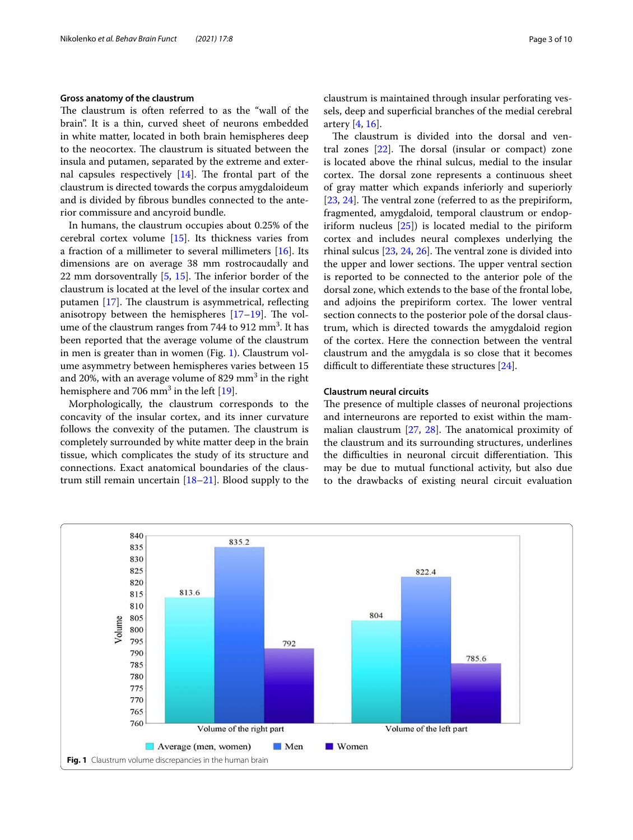#### **Gross anatomy of the claustrum**

The claustrum is often referred to as the "wall of the brain". It is a thin, curved sheet of neurons embedded in white matter, located in both brain hemispheres deep to the neocortex. The claustrum is situated between the insula and putamen, separated by the extreme and external capsules respectively  $[14]$  $[14]$ . The frontal part of the claustrum is directed towards the corpus amygdaloideum and is divided by fbrous bundles connected to the anterior commissure and ancyroid bundle.

In humans, the claustrum occupies about 0.25% of the cerebral cortex volume [\[15](#page-7-12)]. Its thickness varies from a fraction of a millimeter to several millimeters [[16\]](#page-7-13). Its dimensions are on average 38 mm rostrocaudally and 22 mm dorsoventrally  $[5, 15]$  $[5, 15]$  $[5, 15]$  $[5, 15]$ . The inferior border of the claustrum is located at the level of the insular cortex and putamen  $[17]$  $[17]$ . The claustrum is asymmetrical, reflecting anisotropy between the hemispheres  $[17-19]$  $[17-19]$  $[17-19]$ . The volume of the claustrum ranges from 744 to 912  $\text{mm}^3$ . It has been reported that the average volume of the claustrum in men is greater than in women (Fig. [1](#page-2-0)). Claustrum volume asymmetry between hemispheres varies between 15 and 20%, with an average volume of 829  $\mathrm{mm}^{3}$  in the right hemisphere and 706  $\mathrm{mm}^{3}$  in the left [\[19\]](#page-7-15).

Morphologically, the claustrum corresponds to the concavity of the insular cortex, and its inner curvature follows the convexity of the putamen. The claustrum is completely surrounded by white matter deep in the brain tissue, which complicates the study of its structure and connections. Exact anatomical boundaries of the claustrum still remain uncertain [\[18](#page-7-16)[–21\]](#page-7-17). Blood supply to the claustrum is maintained through insular perforating vessels, deep and superfcial branches of the medial cerebral artery [[4,](#page-7-5) [16](#page-7-13)].

The claustrum is divided into the dorsal and ventral zones  $[22]$  $[22]$ . The dorsal (insular or compact) zone is located above the rhinal sulcus, medial to the insular cortex. The dorsal zone represents a continuous sheet of gray matter which expands inferiorly and superiorly  $[23, 24]$  $[23, 24]$  $[23, 24]$  $[23, 24]$ . The ventral zone (referred to as the prepiriform, fragmented, amygdaloid, temporal claustrum or endopiriform nucleus [[25\]](#page-7-21)) is located medial to the piriform cortex and includes neural complexes underlying the rhinal sulcus  $[23, 24, 26]$  $[23, 24, 26]$  $[23, 24, 26]$  $[23, 24, 26]$  $[23, 24, 26]$  $[23, 24, 26]$ . The ventral zone is divided into the upper and lower sections. The upper ventral section is reported to be connected to the anterior pole of the dorsal zone, which extends to the base of the frontal lobe, and adjoins the prepiriform cortex. The lower ventral section connects to the posterior pole of the dorsal claustrum, which is directed towards the amygdaloid region of the cortex. Here the connection between the ventral claustrum and the amygdala is so close that it becomes difficult to differentiate these structures  $[24]$  $[24]$  $[24]$ .

#### **Claustrum neural circuits**

The presence of multiple classes of neuronal projections and interneurons are reported to exist within the mammalian claustrum  $[27, 28]$  $[27, 28]$  $[27, 28]$ . The anatomical proximity of the claustrum and its surrounding structures, underlines the difficulties in neuronal circuit differentiation. This may be due to mutual functional activity, but also due to the drawbacks of existing neural circuit evaluation

<span id="page-2-0"></span>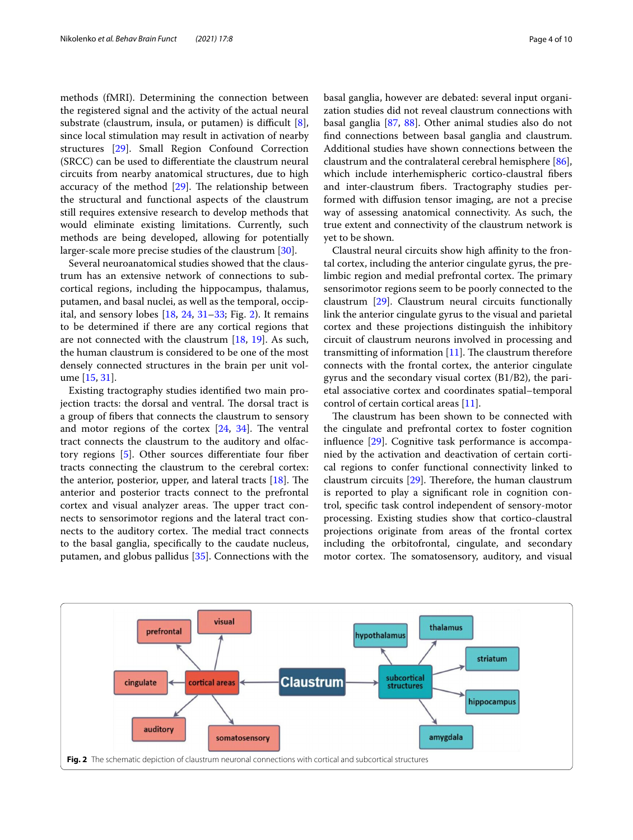methods (fMRI). Determining the connection between the registered signal and the activity of the actual neural substrate (claustrum, insula, or putamen) is difficult  $[8]$  $[8]$ , since local stimulation may result in activation of nearby structures [\[29](#page-7-25)]. Small Region Confound Correction (SRCC) can be used to diferentiate the claustrum neural circuits from nearby anatomical structures, due to high accuracy of the method  $[29]$  $[29]$ . The relationship between the structural and functional aspects of the claustrum still requires extensive research to develop methods that would eliminate existing limitations. Currently, such methods are being developed, allowing for potentially larger-scale more precise studies of the claustrum [\[30](#page-7-26)].

Several neuroanatomical studies showed that the claustrum has an extensive network of connections to subcortical regions, including the hippocampus, thalamus, putamen, and basal nuclei, as well as the temporal, occipital, and sensory lobes  $[18, 24, 31-33; Fig. 2]$  $[18, 24, 31-33; Fig. 2]$  $[18, 24, 31-33; Fig. 2]$  $[18, 24, 31-33; Fig. 2]$  $[18, 24, 31-33; Fig. 2]$  $[18, 24, 31-33; Fig. 2]$ . It remains to be determined if there are any cortical regions that are not connected with the claustrum  $[18, 19]$  $[18, 19]$  $[18, 19]$  $[18, 19]$ . As such, the human claustrum is considered to be one of the most densely connected structures in the brain per unit volume [\[15](#page-7-12), [31](#page-7-27)].

Existing tractography studies identifed two main projection tracts: the dorsal and ventral. The dorsal tract is a group of fbers that connects the claustrum to sensory and motor regions of the cortex  $[24, 34]$  $[24, 34]$  $[24, 34]$  $[24, 34]$ . The ventral tract connects the claustrum to the auditory and olfactory regions [\[5](#page-7-2)]. Other sources diferentiate four fber tracts connecting the claustrum to the cerebral cortex: the anterior, posterior, upper, and lateral tracts  $[18]$  $[18]$ . The anterior and posterior tracts connect to the prefrontal cortex and visual analyzer areas. The upper tract connects to sensorimotor regions and the lateral tract connects to the auditory cortex. The medial tract connects to the basal ganglia, specifcally to the caudate nucleus, putamen, and globus pallidus [[35](#page-8-3)]. Connections with the basal ganglia, however are debated: several input organization studies did not reveal claustrum connections with basal ganglia [[87,](#page-9-1) [88](#page-9-2)]. Other animal studies also do not fnd connections between basal ganglia and claustrum. Additional studies have shown connections between the claustrum and the contralateral cerebral hemisphere [\[86](#page-9-3)], which include interhemispheric cortico-claustral fbers and inter-claustrum fbers. Tractography studies performed with difusion tensor imaging, are not a precise way of assessing anatomical connectivity. As such, the true extent and connectivity of the claustrum network is yet to be shown.

Claustral neural circuits show high affinity to the frontal cortex, including the anterior cingulate gyrus, the prelimbic region and medial prefrontal cortex. The primary sensorimotor regions seem to be poorly connected to the claustrum [\[29](#page-7-25)]. Claustrum neural circuits functionally link the anterior cingulate gyrus to the visual and parietal cortex and these projections distinguish the inhibitory circuit of claustrum neurons involved in processing and transmitting of information  $[11]$  $[11]$  $[11]$ . The claustrum therefore connects with the frontal cortex, the anterior cingulate gyrus and the secondary visual cortex (B1/B2), the parietal associative cortex and coordinates spatial–temporal control of certain cortical areas [\[11](#page-7-8)].

The claustrum has been shown to be connected with the cingulate and prefrontal cortex to foster cognition infuence [\[29](#page-7-25)]. Cognitive task performance is accompanied by the activation and deactivation of certain cortical regions to confer functional connectivity linked to claustrum circuits  $[29]$  $[29]$ . Therefore, the human claustrum is reported to play a signifcant role in cognition control, specifc task control independent of sensory-motor processing. Existing studies show that cortico-claustral projections originate from areas of the frontal cortex including the orbitofrontal, cingulate, and secondary motor cortex. The somatosensory, auditory, and visual

<span id="page-3-0"></span>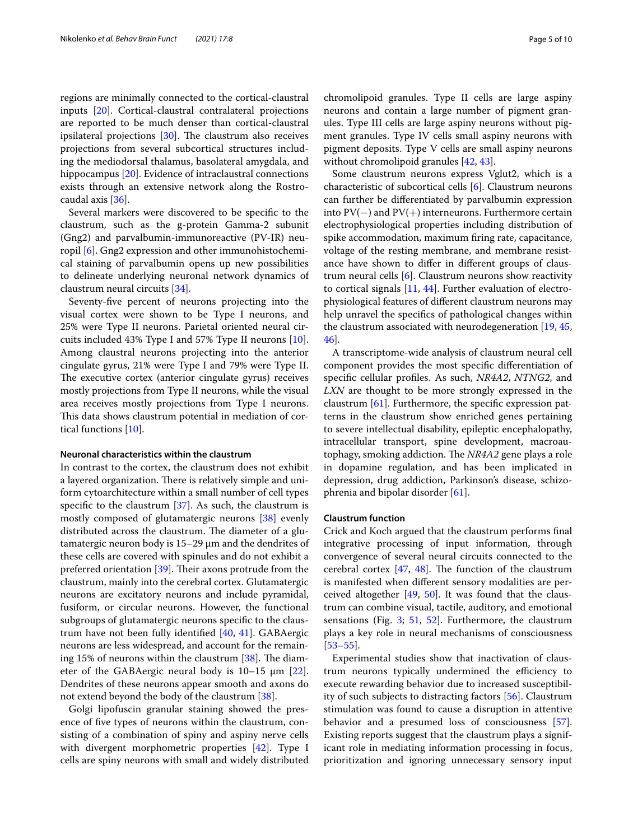regions are minimally connected to the cortical-claustral inputs [[20\]](#page-7-29). Cortical-claustral contralateral projections are reported to be much denser than cortical-claustral ipsilateral projections  $[30]$  $[30]$ . The claustrum also receives projections from several subcortical structures including the mediodorsal thalamus, basolateral amygdala, and hippocampus [[20\]](#page-7-29). Evidence of intraclaustral connections exists through an extensive network along the Rostrocaudal axis [[36\]](#page-8-0).

Several markers were discovered to be specifc to the claustrum, such as the g-protein Gamma-2 subunit (Gng2) and parvalbumin-immunoreactive (PV-IR) neuropil [[6](#page-7-3)]. Gng2 expression and other immunohistochemical staining of parvalbumin opens up new possibilities to delineate underlying neuronal network dynamics of claustrum neural circuits [\[34](#page-8-2)].

Seventy-fve percent of neurons projecting into the visual cortex were shown to be Type I neurons, and 25% were Type II neurons. Parietal oriented neural circuits included 43% Type I and 57% Type II neurons [\[10](#page-7-30)]. Among claustral neurons projecting into the anterior cingulate gyrus, 21% were Type I and 79% were Type II. The executive cortex (anterior cingulate gyrus) receives mostly projections from Type II neurons, while the visual area receives mostly projections from Type I neurons. This data shows claustrum potential in mediation of cortical functions [[10](#page-7-30)].

#### **Neuronal characteristics within the claustrum**

In contrast to the cortex, the claustrum does not exhibit a layered organization. There is relatively simple and uniform cytoarchitecture within a small number of cell types specific to the claustrum  $[37]$  $[37]$ . As such, the claustrum is mostly composed of glutamatergic neurons [\[38](#page-8-5)] evenly distributed across the claustrum. The diameter of a glutamatergic neuron body is 15–29 μm and the dendrites of these cells are covered with spinules and do not exhibit a preferred orientation  $[39]$  $[39]$ . Their axons protrude from the claustrum, mainly into the cerebral cortex. Glutamatergic neurons are excitatory neurons and include pyramidal, fusiform, or circular neurons. However, the functional subgroups of glutamatergic neurons specifc to the claustrum have not been fully identifed [[40](#page-8-7), [41\]](#page-8-8). GABAergic neurons are less widespread, and account for the remaining 15% of neurons within the claustrum  $[38]$  $[38]$ . The diameter of the GABAergic neural body is  $10-15 \mu m$  [\[22](#page-7-18)]. Dendrites of these neurons appear smooth and axons do not extend beyond the body of the claustrum [[38](#page-8-5)].

Golgi lipofuscin granular staining showed the presence of fve types of neurons within the claustrum, consisting of a combination of spiny and aspiny nerve cells with divergent morphometric properties [[42](#page-8-9)]. Type I cells are spiny neurons with small and widely distributed chromolipoid granules. Type II cells are large aspiny neurons and contain a large number of pigment granules. Type III cells are large aspiny neurons without pigment granules. Type IV cells small aspiny neurons with pigment deposits. Type V cells are small aspiny neurons without chromolipoid granules [\[42,](#page-8-9) [43](#page-8-10)].

Some claustrum neurons express Vglut2, which is a characteristic of subcortical cells [[6](#page-7-3)]. Claustrum neurons can further be diferentiated by parvalbumin expression into PV(−) and PV(+) interneurons. Furthermore certain electrophysiological properties including distribution of spike accommodation, maximum fring rate, capacitance, voltage of the resting membrane, and membrane resistance have shown to difer in diferent groups of claustrum neural cells [[6\]](#page-7-3). Claustrum neurons show reactivity to cortical signals [\[11](#page-7-8), [44](#page-8-11)]. Further evaluation of electrophysiological features of diferent claustrum neurons may help unravel the specifcs of pathological changes within the claustrum associated with neurodegeneration [\[19,](#page-7-15) [45](#page-8-12), [46\]](#page-8-13).

A transcriptome-wide analysis of claustrum neural cell component provides the most specifc diferentiation of specifc cellular profles. As such, *NR4A2*, *NTNG2*, and *LXN* are thought to be more strongly expressed in the claustrum [[61\]](#page-8-1). Furthermore, the specifc expression patterns in the claustrum show enriched genes pertaining to severe intellectual disability, epileptic encephalopathy, intracellular transport, spine development, macroautophagy, smoking addiction. The *NR4A2* gene plays a role in dopamine regulation, and has been implicated in depression, drug addiction, Parkinson's disease, schizophrenia and bipolar disorder [\[61\]](#page-8-1).

#### **Claustrum function**

Crick and Koch argued that the claustrum performs fnal integrative processing of input information, through convergence of several neural circuits connected to the cerebral cortex  $[47, 48]$  $[47, 48]$  $[47, 48]$  $[47, 48]$ . The function of the claustrum is manifested when diferent sensory modalities are perceived altogether  $[49, 50]$  $[49, 50]$  $[49, 50]$  $[49, 50]$ . It was found that the claustrum can combine visual, tactile, auditory, and emotional sensations (Fig. [3](#page-5-0); [51,](#page-8-18) [52](#page-8-19)]. Furthermore, the claustrum plays a key role in neural mechanisms of consciousness [[53–](#page-8-20)[55\]](#page-8-21).

Experimental studies show that inactivation of claustrum neurons typically undermined the efficiency to execute rewarding behavior due to increased susceptibility of such subjects to distracting factors [\[56\]](#page-8-22). Claustrum stimulation was found to cause a disruption in attentive behavior and a presumed loss of consciousness [\[57](#page-8-23)]. Existing reports suggest that the claustrum plays a significant role in mediating information processing in focus, prioritization and ignoring unnecessary sensory input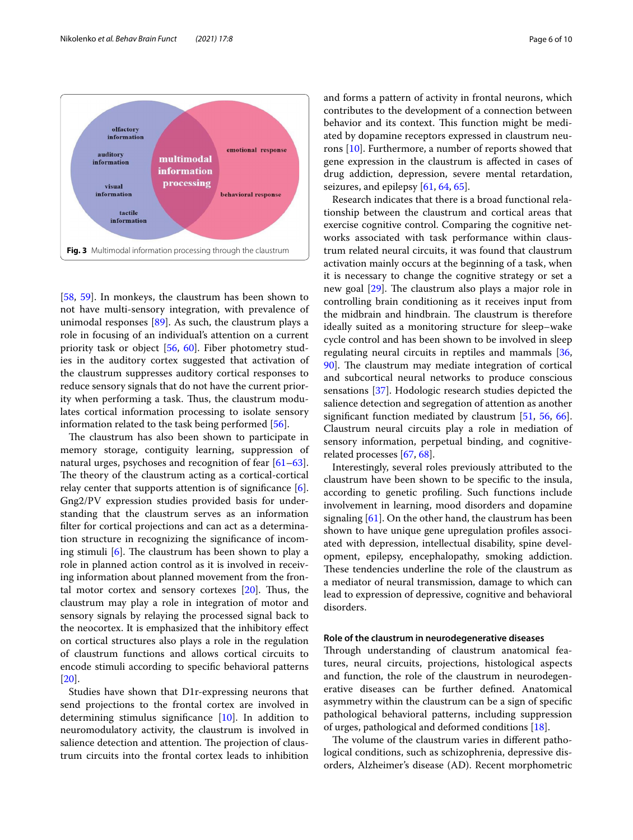

<span id="page-5-0"></span>[[58,](#page-8-24) [59](#page-8-25)]. In monkeys, the claustrum has been shown to not have multi-sensory integration, with prevalence of unimodal responses [[89](#page-9-4)]. As such, the claustrum plays a role in focusing of an individual's attention on a current priority task or object [[56,](#page-8-22) [60\]](#page-8-26). Fiber photometry studies in the auditory cortex suggested that activation of the claustrum suppresses auditory cortical responses to reduce sensory signals that do not have the current priority when performing a task. Thus, the claustrum modulates cortical information processing to isolate sensory information related to the task being performed [\[56](#page-8-22)].

The claustrum has also been shown to participate in memory storage, contiguity learning, suppression of natural urges, psychoses and recognition of fear [[61](#page-8-1)[–63](#page-8-27)]. The theory of the claustrum acting as a cortical-cortical relay center that supports attention is of significance  $[6]$  $[6]$ . Gng2/PV expression studies provided basis for understanding that the claustrum serves as an information flter for cortical projections and can act as a determination structure in recognizing the signifcance of incoming stimuli  $[6]$  $[6]$  $[6]$ . The claustrum has been shown to play a role in planned action control as it is involved in receiving information about planned movement from the frontal motor cortex and sensory cortexes  $[20]$  $[20]$ . Thus, the claustrum may play a role in integration of motor and sensory signals by relaying the processed signal back to the neocortex. It is emphasized that the inhibitory efect on cortical structures also plays a role in the regulation of claustrum functions and allows cortical circuits to encode stimuli according to specifc behavioral patterns [[20\]](#page-7-29).

Studies have shown that D1r-expressing neurons that send projections to the frontal cortex are involved in determining stimulus signifcance [[10](#page-7-30)]. In addition to neuromodulatory activity, the claustrum is involved in salience detection and attention. The projection of claustrum circuits into the frontal cortex leads to inhibition and forms a pattern of activity in frontal neurons, which contributes to the development of a connection between behavior and its context. This function might be mediated by dopamine receptors expressed in claustrum neurons [[10](#page-7-30)]. Furthermore, a number of reports showed that gene expression in the claustrum is afected in cases of drug addiction, depression, severe mental retardation, seizures, and epilepsy [\[61](#page-8-1), [64,](#page-8-28) [65](#page-8-29)].

Research indicates that there is a broad functional relationship between the claustrum and cortical areas that exercise cognitive control. Comparing the cognitive networks associated with task performance within claustrum related neural circuits, it was found that claustrum activation mainly occurs at the beginning of a task, when it is necessary to change the cognitive strategy or set a new goal [\[29\]](#page-7-25). The claustrum also plays a major role in controlling brain conditioning as it receives input from the midbrain and hindbrain. The claustrum is therefore ideally suited as a monitoring structure for sleep–wake cycle control and has been shown to be involved in sleep regulating neural circuits in reptiles and mammals [[36](#page-8-0), [90\]](#page-9-5). The claustrum may mediate integration of cortical and subcortical neural networks to produce conscious sensations [\[37](#page-8-4)]. Hodologic research studies depicted the salience detection and segregation of attention as another signifcant function mediated by claustrum [\[51,](#page-8-18) [56,](#page-8-22) [66](#page-8-30)]. Claustrum neural circuits play a role in mediation of sensory information, perpetual binding, and cognitiverelated processes [[67,](#page-8-31) [68\]](#page-8-32).

Interestingly, several roles previously attributed to the claustrum have been shown to be specifc to the insula, according to genetic profling. Such functions include involvement in learning, mood disorders and dopamine signaling  $[61]$  $[61]$  $[61]$ . On the other hand, the claustrum has been shown to have unique gene upregulation profles associated with depression, intellectual disability, spine development, epilepsy, encephalopathy, smoking addiction. These tendencies underline the role of the claustrum as a mediator of neural transmission, damage to which can lead to expression of depressive, cognitive and behavioral disorders.

#### **Role of the claustrum in neurodegenerative diseases**

Through understanding of claustrum anatomical features, neural circuits, projections, histological aspects and function, the role of the claustrum in neurodegenerative diseases can be further defned. Anatomical asymmetry within the claustrum can be a sign of specifc pathological behavioral patterns, including suppression of urges, pathological and deformed conditions [[18](#page-7-16)].

The volume of the claustrum varies in different pathological conditions, such as schizophrenia, depressive disorders, Alzheimer's disease (AD). Recent morphometric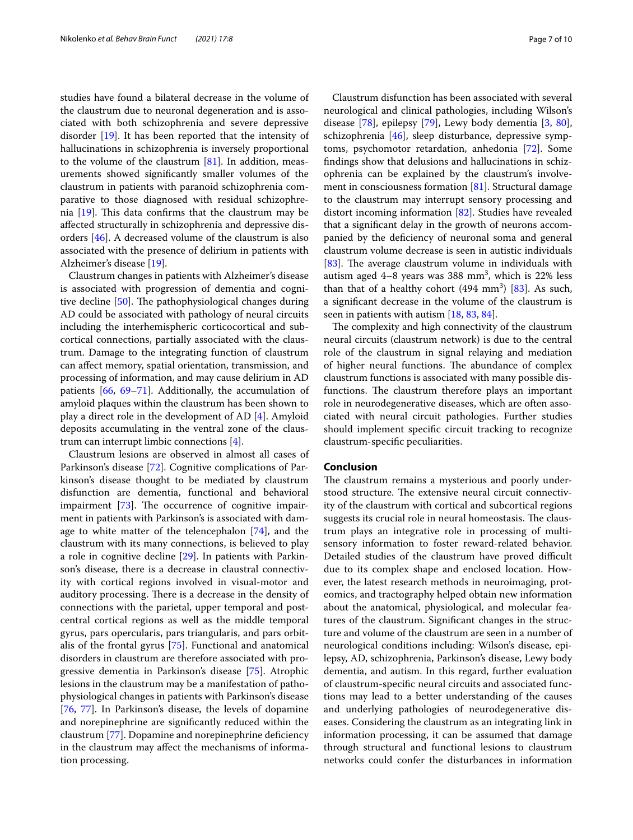studies have found a bilateral decrease in the volume of the claustrum due to neuronal degeneration and is associated with both schizophrenia and severe depressive disorder [[19\]](#page-7-15). It has been reported that the intensity of hallucinations in schizophrenia is inversely proportional to the volume of the claustrum  $[81]$  $[81]$ . In addition, measurements showed signifcantly smaller volumes of the claustrum in patients with paranoid schizophrenia comparative to those diagnosed with residual schizophrenia  $[19]$  $[19]$ . This data confirms that the claustrum may be afected structurally in schizophrenia and depressive disorders [[46\]](#page-8-13). A decreased volume of the claustrum is also associated with the presence of delirium in patients with Alzheimer's disease [\[19\]](#page-7-15).

Claustrum changes in patients with Alzheimer's disease is associated with progression of dementia and cognitive decline  $[50]$  $[50]$ . The pathophysiological changes during AD could be associated with pathology of neural circuits including the interhemispheric corticocortical and subcortical connections, partially associated with the claustrum. Damage to the integrating function of claustrum can afect memory, spatial orientation, transmission, and processing of information, and may cause delirium in AD patients [[66,](#page-8-30) [69](#page-8-34)–[71\]](#page-8-35). Additionally, the accumulation of amyloid plaques within the claustrum has been shown to play a direct role in the development of AD [\[4](#page-7-5)]. Amyloid deposits accumulating in the ventral zone of the claustrum can interrupt limbic connections [\[4](#page-7-5)].

Claustrum lesions are observed in almost all cases of Parkinson's disease [\[72\]](#page-8-36). Cognitive complications of Parkinson's disease thought to be mediated by claustrum disfunction are dementia, functional and behavioral impairment  $[73]$  $[73]$ . The occurrence of cognitive impairment in patients with Parkinson's is associated with damage to white matter of the telencephalon [[74\]](#page-8-38), and the claustrum with its many connections, is believed to play a role in cognitive decline [[29\]](#page-7-25). In patients with Parkinson's disease, there is a decrease in claustral connectivity with cortical regions involved in visual-motor and auditory processing. There is a decrease in the density of connections with the parietal, upper temporal and postcentral cortical regions as well as the middle temporal gyrus, pars opercularis, pars triangularis, and pars orbitalis of the frontal gyrus [\[75](#page-8-39)]. Functional and anatomical disorders in claustrum are therefore associated with progressive dementia in Parkinson's disease [[75](#page-8-39)]. Atrophic lesions in the claustrum may be a manifestation of pathophysiological changes in patients with Parkinson's disease [[76,](#page-8-40) [77\]](#page-8-41). In Parkinson's disease, the levels of dopamine and norepinephrine are signifcantly reduced within the claustrum [\[77](#page-8-41)]. Dopamine and norepinephrine defciency in the claustrum may afect the mechanisms of information processing.

Claustrum disfunction has been associated with several neurological and clinical pathologies, including Wilson's disease [[78\]](#page-8-42), epilepsy [[79](#page-8-43)], Lewy body dementia [[3,](#page-7-31) [80](#page-8-44)], schizophrenia [\[46\]](#page-8-13), sleep disturbance, depressive symptoms, psychomotor retardation, anhedonia [\[72](#page-8-36)]. Some fndings show that delusions and hallucinations in schizophrenia can be explained by the claustrum's involvement in consciousness formation [[81\]](#page-8-33). Structural damage to the claustrum may interrupt sensory processing and distort incoming information [[82\]](#page-8-45). Studies have revealed that a signifcant delay in the growth of neurons accompanied by the defciency of neuronal soma and general claustrum volume decrease is seen in autistic individuals [[83\]](#page-8-46). The average claustrum volume in individuals with autism aged  $4-8$  years was 388 mm<sup>3</sup>, which is 22% less than that of a healthy cohort  $(494 \text{ mm}^3)$   $[83]$  $[83]$ . As such, a signifcant decrease in the volume of the claustrum is seen in patients with autism [\[18](#page-7-16), [83,](#page-8-46) [84\]](#page-8-47).

The complexity and high connectivity of the claustrum neural circuits (claustrum network) is due to the central role of the claustrum in signal relaying and mediation of higher neural functions. The abundance of complex claustrum functions is associated with many possible disfunctions. The claustrum therefore plays an important role in neurodegenerative diseases, which are often associated with neural circuit pathologies. Further studies should implement specifc circuit tracking to recognize claustrum-specifc peculiarities.

#### **Conclusion**

The claustrum remains a mysterious and poorly understood structure. The extensive neural circuit connectivity of the claustrum with cortical and subcortical regions suggests its crucial role in neural homeostasis. The claustrum plays an integrative role in processing of multisensory information to foster reward-related behavior. Detailed studies of the claustrum have proved difficult due to its complex shape and enclosed location. However, the latest research methods in neuroimaging, proteomics, and tractography helped obtain new information about the anatomical, physiological, and molecular features of the claustrum. Signifcant changes in the structure and volume of the claustrum are seen in a number of neurological conditions including: Wilson's disease, epilepsy, AD, schizophrenia, Parkinson's disease, Lewy body dementia, and autism. In this regard, further evaluation of claustrum-specifc neural circuits and associated functions may lead to a better understanding of the causes and underlying pathologies of neurodegenerative diseases. Considering the claustrum as an integrating link in information processing, it can be assumed that damage through structural and functional lesions to claustrum networks could confer the disturbances in information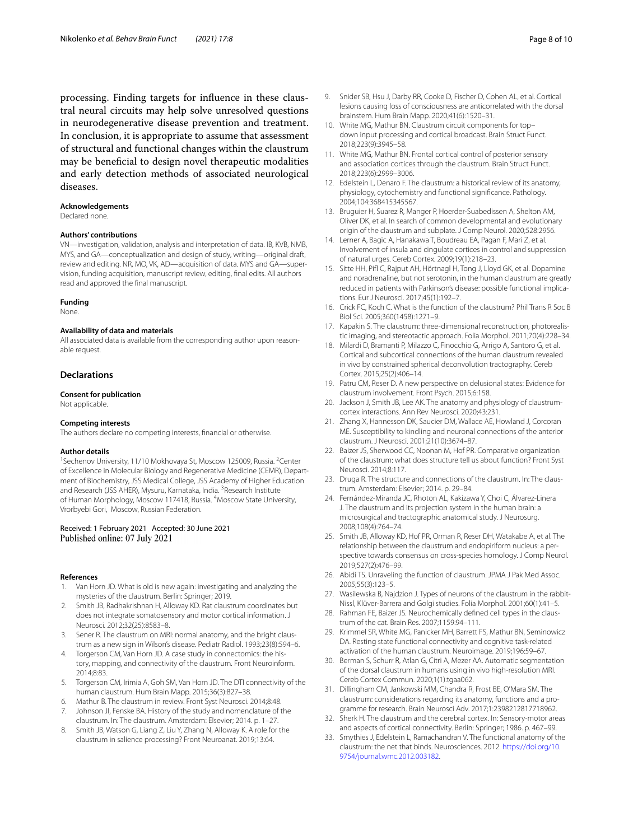processing. Finding targets for infuence in these claustral neural circuits may help solve unresolved questions in neurodegenerative disease prevention and treatment. In conclusion, it is appropriate to assume that assessment of structural and functional changes within the claustrum may be benefcial to design novel therapeutic modalities and early detection methods of associated neurological diseases.

#### **Acknowledgements**

Declared none.

#### **Authors' contributions**

VN—investigation, validation, analysis and interpretation of data. IB, KVB, NMB, MYS, and GA—conceptualization and design of study, writing—original draft, review and editing. NR, MO, VK, AD—acquisition of data. MYS and GA—supervision, funding acquisition, manuscript review, editing, fnal edits. All authors read and approved the fnal manuscript.

#### **Funding**

None.

#### **Availability of data and materials**

All associated data is available from the corresponding author upon reasonable request.

#### **Declarations**

#### **Consent for publication**

Not applicable.

#### **Competing interests**

The authors declare no competing interests, fnancial or otherwise.

#### **Author details**

<sup>1</sup> Sechenov University, 11/10 Mokhovaya St, Moscow 125009, Russia. <sup>2</sup>Center of Excellence in Molecular Biology and Regenerative Medicine (CEMR), Department of Biochemistry, JSS Medical College, JSS Academy of Higher Education and Research (JSS AHER), Mysuru, Karnataka, India. <sup>3</sup>Research Institute of Human Morphology, Moscow 117418, Russia. <sup>4</sup>Moscow State University, Vrorbyebi Gori, Moscow, Russian Federation.

# Received: 1 February 2021 Accepted: 30 June 2021

#### **References**

- <span id="page-7-0"></span>Van Horn JD. What is old is new again: investigating and analyzing the mysteries of the claustrum. Berlin: Springer; 2019.
- <span id="page-7-1"></span>2. Smith JB, Radhakrishnan H, Alloway KD. Rat claustrum coordinates but does not integrate somatosensory and motor cortical information. J Neurosci. 2012;32(25):8583–8.
- <span id="page-7-31"></span>3. Sener R. The claustrum on MRI: normal anatomy, and the bright claustrum as a new sign in Wilson's disease. Pediatr Radiol. 1993;23(8):594–6.
- <span id="page-7-5"></span>4. Torgerson CM, Van Horn JD. A case study in connectomics: the history, mapping, and connectivity of the claustrum. Front Neuroinform. 2014;8:83.
- <span id="page-7-2"></span>5. Torgerson CM, Irimia A, Goh SM, Van Horn JD. The DTI connectivity of the human claustrum. Hum Brain Mapp. 2015;36(3):827–38.
- <span id="page-7-3"></span>6. Mathur B. The claustrum in review. Front Syst Neurosci. 2014;8:48.
- <span id="page-7-4"></span>Johnson JI, Fenske BA. History of the study and nomenclature of the claustrum. In: The claustrum. Amsterdam: Elsevier; 2014. p. 1–27.
- <span id="page-7-6"></span>8. Smith JB, Watson G, Liang Z, Liu Y, Zhang N, Alloway K. A role for the claustrum in salience processing? Front Neuroanat. 2019;13:64.
- <span id="page-7-7"></span>9. Snider SB, Hsu J, Darby RR, Cooke D, Fischer D, Cohen AL, et al. Cortical lesions causing loss of consciousness are anticorrelated with the dorsal brainstem. Hum Brain Mapp. 2020;41(6):1520–31.
- <span id="page-7-30"></span>10. White MG, Mathur BN. Claustrum circuit components for top– down input processing and cortical broadcast. Brain Struct Funct. 2018;223(9):3945–58.
- <span id="page-7-8"></span>11. White MG, Mathur BN. Frontal cortical control of posterior sensory and association cortices through the claustrum. Brain Struct Funct. 2018;223(6):2999–3006.
- <span id="page-7-9"></span>12. Edelstein L, Denaro F. The claustrum: a historical review of its anatomy, physiology, cytochemistry and functional signifcance. Pathology. 2004;104:368415345567.
- <span id="page-7-10"></span>13. Bruguier H, Suarez R, Manger P, Hoerder-Suabedissen A, Shelton AM, Oliver DK, et al. In search of common developmental and evolutionary origin of the claustrum and subplate. J Comp Neurol. 2020;528:2956.
- <span id="page-7-11"></span>14. Lerner A, Bagic A, Hanakawa T, Boudreau EA, Pagan F, Mari Z, et al. Involvement of insula and cingulate cortices in control and suppression of natural urges. Cereb Cortex. 2009;19(1):218–23.
- <span id="page-7-12"></span>15. Sitte HH, Pif C, Rajput AH, Hörtnagl H, Tong J, Lloyd GK, et al. Dopamine and noradrenaline, but not serotonin, in the human claustrum are greatly reduced in patients with Parkinson's disease: possible functional implications. Eur J Neurosci. 2017;45(1):192–7.
- <span id="page-7-13"></span>16. Crick FC, Koch C. What is the function of the claustrum? Phil Trans R Soc B Biol Sci. 2005;360(1458):1271–9.
- <span id="page-7-14"></span>17. Kapakin S. The claustrum: three-dimensional reconstruction, photorealistic imaging, and stereotactic approach. Folia Morphol. 2011;70(4):228–34.
- <span id="page-7-16"></span>18. Milardi D, Bramanti P, Milazzo C, Finocchio G, Arrigo A, Santoro G, et al. Cortical and subcortical connections of the human claustrum revealed in vivo by constrained spherical deconvolution tractography. Cereb Cortex. 2015;25(2):406–14.
- <span id="page-7-15"></span>19. Patru CM, Reser D. A new perspective on delusional states: Evidence for claustrum involvement. Front Psych. 2015;6:158.
- <span id="page-7-29"></span>20. Jackson J, Smith JB, Lee AK. The anatomy and physiology of claustrumcortex interactions. Ann Rev Neurosci. 2020;43:231.
- <span id="page-7-17"></span>21. Zhang X, Hannesson DK, Saucier DM, Wallace AE, Howland J, Corcoran ME. Susceptibility to kindling and neuronal connections of the anterior claustrum. J Neurosci. 2001;21(10):3674–87.
- <span id="page-7-18"></span>22. Baizer JS, Sherwood CC, Noonan M, Hof PR. Comparative organization of the claustrum: what does structure tell us about function? Front Syst Neurosci. 2014;8:117.
- <span id="page-7-19"></span>23. Druga R. The structure and connections of the claustrum. In: The claustrum. Amsterdam: Elsevier; 2014. p. 29–84.
- <span id="page-7-20"></span>24. Fernández-Miranda JC, Rhoton AL, Kakizawa Y, Choi C, Álvarez-Linera J. The claustrum and its projection system in the human brain: a microsurgical and tractographic anatomical study. J Neurosurg. 2008;108(4):764–74.
- <span id="page-7-21"></span>25. Smith JB, Alloway KD, Hof PR, Orman R, Reser DH, Watakabe A, et al. The relationship between the claustrum and endopiriform nucleus: a perspective towards consensus on cross-species homology. J Comp Neurol. 2019;527(2):476–99.
- <span id="page-7-22"></span>26. Abidi TS. Unraveling the function of claustrum. JPMA J Pak Med Assoc. 2005;55(3):123–5.
- <span id="page-7-23"></span>27. Wasilewska B, Najdzion J. Types of neurons of the claustrum in the rabbit-Nissl, Klüver-Barrera and Golgi studies. Folia Morphol. 2001;60(1):41–5.
- <span id="page-7-24"></span>28. Rahman FE, Baizer JS. Neurochemically defned cell types in the claustrum of the cat. Brain Res. 2007;1159:94–111.
- <span id="page-7-25"></span>29. Krimmel SR, White MG, Panicker MH, Barrett FS, Mathur BN, Seminowicz DA. Resting state functional connectivity and cognitive task-related activation of the human claustrum. Neuroimage. 2019;196:59–67.
- <span id="page-7-26"></span>30. Berman S, Schurr R, Atlan G, Citri A, Mezer AA. Automatic segmentation of the dorsal claustrum in humans using in vivo high-resolution MRI. Cereb Cortex Commun. 2020;1(1):tgaa062.
- <span id="page-7-27"></span>31. Dillingham CM, Jankowski MM, Chandra R, Frost BE, O'Mara SM. The claustrum: considerations regarding its anatomy, functions and a programme for research. Brain Neurosci Adv. 2017;1:2398212817718962.
- 32. Sherk H. The claustrum and the cerebral cortex. In: Sensory-motor areas and aspects of cortical connectivity. Berlin: Springer; 1986. p. 467–99.
- <span id="page-7-28"></span>33. Smythies J, Edelstein L, Ramachandran V. The functional anatomy of the claustrum: the net that binds. Neurosciences. 2012. [https://doi.org/10.](https://doi.org/10.9754/journal.wmc.2012.003182) [9754/journal.wmc.2012.003182](https://doi.org/10.9754/journal.wmc.2012.003182).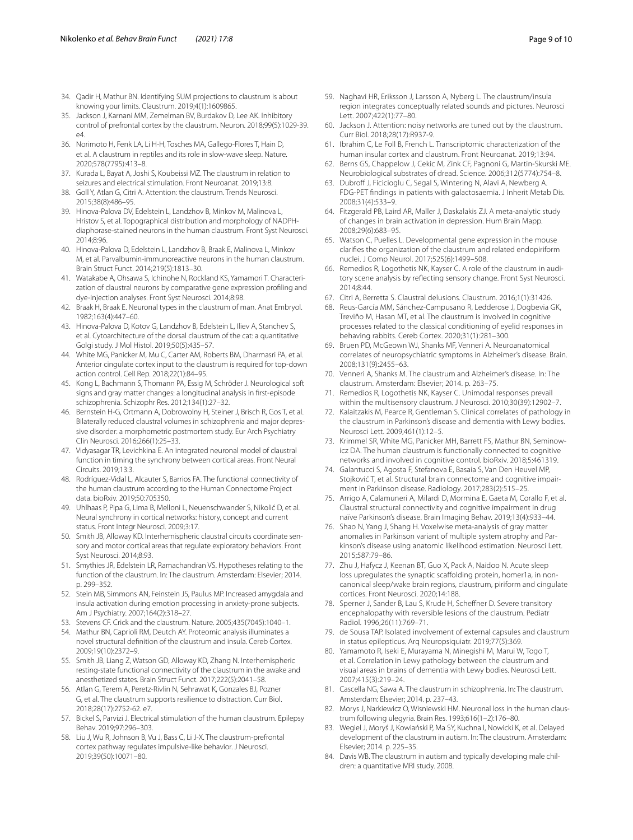- <span id="page-8-2"></span>34. Qadir H, Mathur BN. Identifying SUM projections to claustrum is about knowing your limits. Claustrum. 2019;4(1):1609865.
- <span id="page-8-3"></span>35. Jackson J, Karnani MM, Zemelman BV, Burdakov D, Lee AK. Inhibitory control of prefrontal cortex by the claustrum. Neuron. 2018;99(5):1029-39.  $\triangle 4$
- <span id="page-8-0"></span>36. Norimoto H, Fenk LA, Li H-H, Tosches MA, Gallego-Flores T, Hain D, et al. A claustrum in reptiles and its role in slow-wave sleep. Nature. 2020;578(7795):413–8.
- <span id="page-8-4"></span>37. Kurada L, Bayat A, Joshi S, Koubeissi MZ. The claustrum in relation to seizures and electrical stimulation. Front Neuroanat. 2019;13:8.
- <span id="page-8-5"></span>38. Goll Y, Atlan G, Citri A. Attention: the claustrum. Trends Neurosci. 2015;38(8):486–95.
- <span id="page-8-6"></span>39. Hinova-Palova DV, Edelstein L, Landzhov B, Minkov M, Malinova L, Hristov S, et al. Topographical distribution and morphology of NADPHdiaphorase-stained neurons in the human claustrum. Front Syst Neurosci. 2014;8:96.
- <span id="page-8-7"></span>40. Hinova-Palova D, Edelstein L, Landzhov B, Braak E, Malinova L, Minkov M, et al. Parvalbumin-immunoreactive neurons in the human claustrum. Brain Struct Funct. 2014;219(5):1813–30.
- <span id="page-8-8"></span>41. Watakabe A, Ohsawa S, Ichinohe N, Rockland KS, Yamamori T. Characterization of claustral neurons by comparative gene expression profling and dye-injection analyses. Front Syst Neurosci. 2014;8:98.
- <span id="page-8-9"></span>42. Braak H, Braak E. Neuronal types in the claustrum of man. Anat Embryol. 1982;163(4):447–60.
- <span id="page-8-10"></span>43. Hinova-Palova D, Kotov G, Landzhov B, Edelstein L, Iliev A, Stanchev S, et al. Cytoarchitecture of the dorsal claustrum of the cat: a quantitative Golgi study. J Mol Histol. 2019;50(5):435–57.
- <span id="page-8-11"></span>44. White MG, Panicker M, Mu C, Carter AM, Roberts BM, Dharmasri PA, et al. Anterior cingulate cortex input to the claustrum is required for top-down action control. Cell Rep. 2018;22(1):84–95.
- <span id="page-8-12"></span>45. Kong L, Bachmann S, Thomann PA, Essig M, Schröder J. Neurological soft signs and gray matter changes: a longitudinal analysis in frst-episode schizophrenia. Schizophr Res. 2012;134(1):27–32.
- <span id="page-8-13"></span>46. Bernstein H-G, Ortmann A, Dobrowolny H, Steiner J, Brisch R, Gos T, et al. Bilaterally reduced claustral volumes in schizophrenia and major depressive disorder: a morphometric postmortem study. Eur Arch Psychiatry Clin Neurosci. 2016;266(1):25–33.
- <span id="page-8-14"></span>47. Vidyasagar TR, Levichkina E. An integrated neuronal model of claustral function in timing the synchrony between cortical areas. Front Neural Circuits. 2019;13:3.
- <span id="page-8-15"></span>48. Rodríguez-Vidal L, Alcauter S, Barrios FA. The functional connectivity of the human claustrum according to the Human Connectome Project data. bioRxiv. 2019;50:705350.
- <span id="page-8-16"></span>49. Uhlhaas P, Pipa G, Lima B, Melloni L, Neuenschwander S, Nikolić D, et al. Neural synchrony in cortical networks: history, concept and current status. Front Integr Neurosci. 2009;3:17.
- <span id="page-8-17"></span>50. Smith JB, Alloway KD. Interhemispheric claustral circuits coordinate sensory and motor cortical areas that regulate exploratory behaviors. Front Syst Neurosci. 2014;8:93.
- <span id="page-8-18"></span>51. Smythies JR, Edelstein LR, Ramachandran VS. Hypotheses relating to the function of the claustrum. In: The claustrum. Amsterdam: Elsevier; 2014. p. 299–352.
- <span id="page-8-19"></span>52. Stein MB, Simmons AN, Feinstein JS, Paulus MP. Increased amygdala and insula activation during emotion processing in anxiety-prone subjects. Am J Psychiatry. 2007;164(2):318–27.
- <span id="page-8-20"></span>53. Stevens CF. Crick and the claustrum. Nature. 2005;435(7045):1040–1.
- 54. Mathur BN, Caprioli RM, Deutch AY. Proteomic analysis illuminates a novel structural defnition of the claustrum and insula. Cereb Cortex. 2009;19(10):2372–9.
- <span id="page-8-21"></span>55. Smith JB, Liang Z, Watson GD, Alloway KD, Zhang N. Interhemispheric resting-state functional connectivity of the claustrum in the awake and anesthetized states. Brain Struct Funct. 2017;222(5):2041–58.
- <span id="page-8-22"></span>56. Atlan G, Terem A, Peretz-Rivlin N, Sehrawat K, Gonzales BJ, Pozner G, et al. The claustrum supports resilience to distraction. Curr Biol. 2018;28(17):2752-62. e7.
- <span id="page-8-23"></span>57. Bickel S, Parvizi J. Electrical stimulation of the human claustrum. Epilepsy Behav. 2019;97:296–303.
- <span id="page-8-24"></span>58. Liu J, Wu R, Johnson B, Vu J, Bass C, Li J-X. The claustrum-prefrontal cortex pathway regulates impulsive-like behavior. J Neurosci. 2019;39(50):10071–80.
- <span id="page-8-25"></span>59. Naghavi HR, Eriksson J, Larsson A, Nyberg L. The claustrum/insula region integrates conceptually related sounds and pictures. Neurosci Lett. 2007;422(1):77–80.
- <span id="page-8-26"></span>60. Jackson J. Attention: noisy networks are tuned out by the claustrum. Curr Biol. 2018;28(17):R937-9.
- <span id="page-8-1"></span>61. Ibrahim C, Le Foll B, French L. Transcriptomic characterization of the human insular cortex and claustrum. Front Neuroanat. 2019;13:94.
- 62. Berns GS, Chappelow J, Cekic M, Zink CF, Pagnoni G, Martin-Skurski ME. Neurobiological substrates of dread. Science. 2006;312(5774):754–8.
- <span id="page-8-27"></span>63. Dubroff J, Ficicioglu C, Segal S, Wintering N, Alavi A, Newberg A. FDG-PET fndings in patients with galactosaemia. J Inherit Metab Dis. 2008;31(4):533–9.
- <span id="page-8-28"></span>64. Fitzgerald PB, Laird AR, Maller J, Daskalakis ZJ. A meta-analytic study of changes in brain activation in depression. Hum Brain Mapp. 2008;29(6):683–95.
- <span id="page-8-29"></span>65. Watson C, Puelles L. Developmental gene expression in the mouse clarifes the organization of the claustrum and related endopiriform nuclei. J Comp Neurol. 2017;525(6):1499–508.
- <span id="page-8-30"></span>66. Remedios R, Logothetis NK, Kayser C. A role of the claustrum in auditory scene analysis by refecting sensory change. Front Syst Neurosci. 2014;8:44.
- <span id="page-8-31"></span>67. Citri A, Berretta S. Claustral delusions. Claustrum. 2016;1(1):31426.
- <span id="page-8-32"></span>68. Reus-García MM, Sánchez-Campusano R, Ledderose J, Dogbevia GK, Treviño M, Hasan MT, et al. The claustrum is involved in cognitive processes related to the classical conditioning of eyelid responses in behaving rabbits. Cereb Cortex. 2020;31(1):281–300.
- <span id="page-8-34"></span>69. Bruen PD, McGeown WJ, Shanks MF, Venneri A. Neuroanatomical correlates of neuropsychiatric symptoms in Alzheimer's disease. Brain. 2008;131(9):2455–63.
- 70. Venneri A, Shanks M. The claustrum and Alzheimer's disease. In: The claustrum. Amsterdam: Elsevier; 2014. p. 263–75.
- <span id="page-8-35"></span>71. Remedios R, Logothetis NK, Kayser C. Unimodal responses prevail within the multisensory claustrum. J Neurosci. 2010;30(39):12902–7.
- <span id="page-8-36"></span>72. Kalaitzakis M, Pearce R, Gentleman S. Clinical correlates of pathology in the claustrum in Parkinson's disease and dementia with Lewy bodies. Neurosci Lett. 2009;461(1):12–5.
- <span id="page-8-37"></span>73. Krimmel SR, White MG, Panicker MH, Barrett FS, Mathur BN, Seminowicz DA. The human claustrum is functionally connected to cognitive networks and involved in cognitive control. bioRxiv. 2018;5:461319.
- <span id="page-8-38"></span>74. Galantucci S, Agosta F, Stefanova E, Basaia S, Van Den Heuvel MP, Stojković T, et al. Structural brain connectome and cognitive impairment in Parkinson disease. Radiology. 2017;283(2):515–25.
- <span id="page-8-39"></span>75. Arrigo A, Calamuneri A, Milardi D, Mormina E, Gaeta M, Corallo F, et al. Claustral structural connectivity and cognitive impairment in drug naïve Parkinson's disease. Brain Imaging Behav. 2019;13(4):933–44.
- <span id="page-8-40"></span>76. Shao N, Yang J, Shang H. Voxelwise meta-analysis of gray matter anomalies in Parkinson variant of multiple system atrophy and Parkinson's disease using anatomic likelihood estimation. Neurosci Lett. 2015;587:79–86.
- <span id="page-8-41"></span>77. Zhu J, Hafycz J, Keenan BT, Guo X, Pack A, Naidoo N. Acute sleep loss upregulates the synaptic scaffolding protein, homer1a, in noncanonical sleep/wake brain regions, claustrum, piriform and cingulate cortices. Front Neurosci. 2020;14:188.
- <span id="page-8-42"></span>78. Sperner J, Sander B, Lau S, Krude H, Scheffner D. Severe transitory encephalopathy with reversible lesions of the claustrum. Pediatr Radiol. 1996;26(11):769–71.
- <span id="page-8-43"></span>79. de Sousa TAP. Isolated involvement of external capsules and claustrum in status epilepticus. Arq Neuropsiquiatr. 2019;77(5):369.
- <span id="page-8-44"></span>80. Yamamoto R, Iseki E, Murayama N, Minegishi M, Marui W, Togo T, et al. Correlation in Lewy pathology between the claustrum and visual areas in brains of dementia with Lewy bodies. Neurosci Lett. 2007;415(3):219–24.
- <span id="page-8-33"></span>81. Cascella NG, Sawa A. The claustrum in schizophrenia. In: The claustrum. Amsterdam: Elsevier; 2014. p. 237–43.
- <span id="page-8-45"></span>82. Morys J, Narkiewicz O, Wisniewski HM. Neuronal loss in the human claustrum following ulegyria. Brain Res. 1993;616(1–2):176–80.
- <span id="page-8-46"></span>83. Wegiel J, Moryś J, Kowiański P, Ma SY, Kuchna I, Nowicki K, et al. Delayed development of the claustrum in autism. In: The claustrum. Amsterdam: Elsevier; 2014. p. 225–35.
- <span id="page-8-47"></span>84. Davis WB. The claustrum in autism and typically developing male children: a quantitative MRI study. 2008.